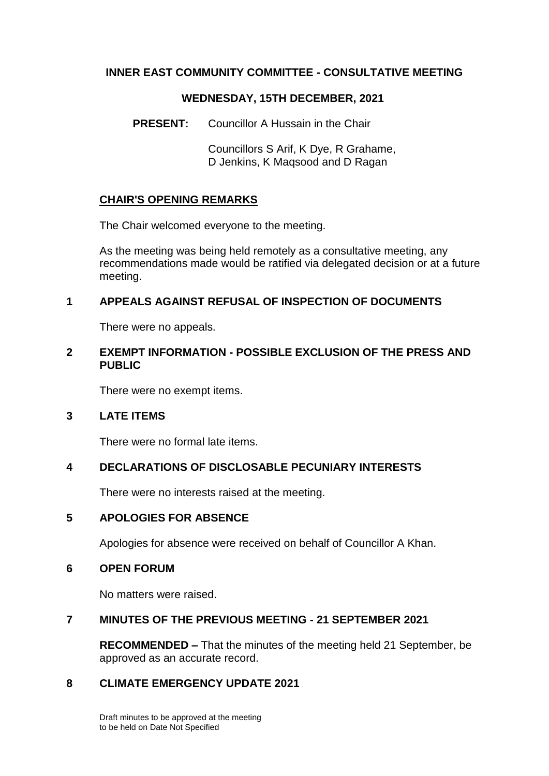## **INNER EAST COMMUNITY COMMITTEE - CONSULTATIVE MEETING**

#### **WEDNESDAY, 15TH DECEMBER, 2021**

**PRESENT:** Councillor A Hussain in the Chair

Councillors S Arif, K Dye, R Grahame, D Jenkins, K Maqsood and D Ragan

### **CHAIR'S OPENING REMARKS**

The Chair welcomed everyone to the meeting.

As the meeting was being held remotely as a consultative meeting, any recommendations made would be ratified via delegated decision or at a future meeting.

### **1 APPEALS AGAINST REFUSAL OF INSPECTION OF DOCUMENTS**

There were no appeals.

### **2 EXEMPT INFORMATION - POSSIBLE EXCLUSION OF THE PRESS AND PUBLIC**

There were no exempt items.

#### **3 LATE ITEMS**

There were no formal late items.

# **4 DECLARATIONS OF DISCLOSABLE PECUNIARY INTERESTS**

There were no interests raised at the meeting.

#### **5 APOLOGIES FOR ABSENCE**

Apologies for absence were received on behalf of Councillor A Khan.

#### **6 OPEN FORUM**

No matters were raised.

#### **7 MINUTES OF THE PREVIOUS MEETING - 21 SEPTEMBER 2021**

**RECOMMENDED –** That the minutes of the meeting held 21 September, be approved as an accurate record.

## **8 CLIMATE EMERGENCY UPDATE 2021**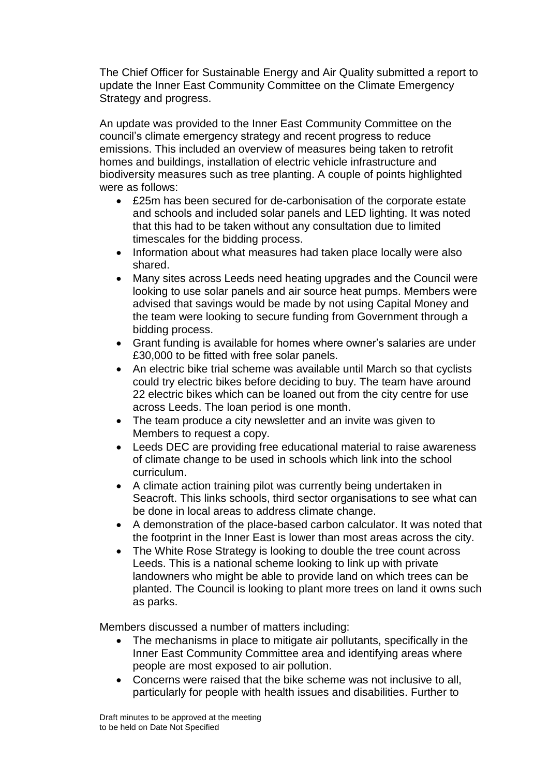The Chief Officer for Sustainable Energy and Air Quality submitted a report to update the Inner East Community Committee on the Climate Emergency Strategy and progress.

An update was provided to the Inner East Community Committee on the council's climate emergency strategy and recent progress to reduce emissions. This included an overview of measures being taken to retrofit homes and buildings, installation of electric vehicle infrastructure and biodiversity measures such as tree planting. A couple of points highlighted were as follows:

- £25m has been secured for de-carbonisation of the corporate estate and schools and included solar panels and LED lighting. It was noted that this had to be taken without any consultation due to limited timescales for the bidding process.
- Information about what measures had taken place locally were also shared.
- Many sites across Leeds need heating upgrades and the Council were looking to use solar panels and air source heat pumps. Members were advised that savings would be made by not using Capital Money and the team were looking to secure funding from Government through a bidding process.
- Grant funding is available for homes where owner's salaries are under £30,000 to be fitted with free solar panels.
- An electric bike trial scheme was available until March so that cyclists could try electric bikes before deciding to buy. The team have around 22 electric bikes which can be loaned out from the city centre for use across Leeds. The loan period is one month.
- The team produce a city newsletter and an invite was given to Members to request a copy.
- Leeds DEC are providing free educational material to raise awareness of climate change to be used in schools which link into the school curriculum.
- A climate action training pilot was currently being undertaken in Seacroft. This links schools, third sector organisations to see what can be done in local areas to address climate change.
- A demonstration of the place-based carbon calculator. It was noted that the footprint in the Inner East is lower than most areas across the city.
- The White Rose Strategy is looking to double the tree count across Leeds. This is a national scheme looking to link up with private landowners who might be able to provide land on which trees can be planted. The Council is looking to plant more trees on land it owns such as parks.

Members discussed a number of matters including:

- The mechanisms in place to mitigate air pollutants, specifically in the Inner East Community Committee area and identifying areas where people are most exposed to air pollution.
- Concerns were raised that the bike scheme was not inclusive to all, particularly for people with health issues and disabilities. Further to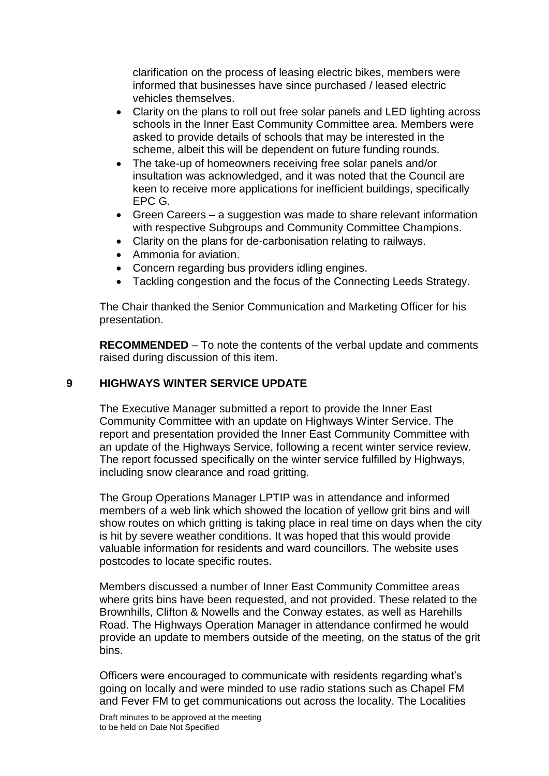clarification on the process of leasing electric bikes, members were informed that businesses have since purchased / leased electric vehicles themselves.

- Clarity on the plans to roll out free solar panels and LED lighting across schools in the Inner East Community Committee area. Members were asked to provide details of schools that may be interested in the scheme, albeit this will be dependent on future funding rounds.
- The take-up of homeowners receiving free solar panels and/or insultation was acknowledged, and it was noted that the Council are keen to receive more applications for inefficient buildings, specifically EPC G.
- Green Careers a suggestion was made to share relevant information with respective Subgroups and Community Committee Champions.
- Clarity on the plans for de-carbonisation relating to railways.
- Ammonia for aviation.
- Concern regarding bus providers idling engines.
- Tackling congestion and the focus of the Connecting Leeds Strategy.

The Chair thanked the Senior Communication and Marketing Officer for his presentation.

**RECOMMENDED** – To note the contents of the verbal update and comments raised during discussion of this item.

#### **9 HIGHWAYS WINTER SERVICE UPDATE**

The Executive Manager submitted a report to provide the Inner East Community Committee with an update on Highways Winter Service. The report and presentation provided the Inner East Community Committee with an update of the Highways Service, following a recent winter service review. The report focussed specifically on the winter service fulfilled by Highways, including snow clearance and road gritting.

The Group Operations Manager LPTIP was in attendance and informed members of a web link which showed the location of yellow grit bins and will show routes on which gritting is taking place in real time on days when the city is hit by severe weather conditions. It was hoped that this would provide valuable information for residents and ward councillors. The website uses postcodes to locate specific routes.

Members discussed a number of Inner East Community Committee areas where grits bins have been requested, and not provided. These related to the Brownhills, Clifton & Nowells and the Conway estates, as well as Harehills Road. The Highways Operation Manager in attendance confirmed he would provide an update to members outside of the meeting, on the status of the grit bins.

Officers were encouraged to communicate with residents regarding what's going on locally and were minded to use radio stations such as Chapel FM and Fever FM to get communications out across the locality. The Localities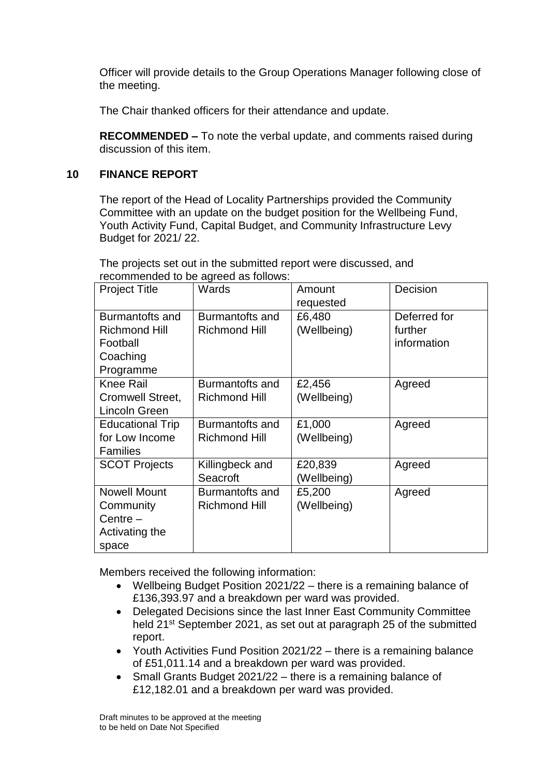Officer will provide details to the Group Operations Manager following close of the meeting.

The Chair thanked officers for their attendance and update.

**RECOMMENDED –** To note the verbal update, and comments raised during discussion of this item.

### **10 FINANCE REPORT**

The report of the Head of Locality Partnerships provided the Community Committee with an update on the budget position for the Wellbeing Fund, Youth Activity Fund, Capital Budget, and Community Infrastructure Levy Budget for 2021/ 22.

The projects set out in the submitted report were discussed, and recommended to be agreed as follows:

| <b>Project Title</b>                                                         | Wards                                   | Amount<br>requested    | Decision                               |
|------------------------------------------------------------------------------|-----------------------------------------|------------------------|----------------------------------------|
| Burmantofts and<br><b>Richmond Hill</b><br>Football<br>Coaching<br>Programme | Burmantofts and<br><b>Richmond Hill</b> | £6,480<br>(Wellbeing)  | Deferred for<br>further<br>information |
| <b>Knee Rail</b><br><b>Cromwell Street,</b><br>Lincoln Green                 | Burmantofts and<br><b>Richmond Hill</b> | £2,456<br>(Wellbeing)  | Agreed                                 |
| <b>Educational Trip</b><br>for Low Income<br><b>Families</b>                 | Burmantofts and<br><b>Richmond Hill</b> | £1,000<br>(Wellbeing)  | Agreed                                 |
| <b>SCOT Projects</b>                                                         | Killingbeck and<br>Seacroft             | £20,839<br>(Wellbeing) | Agreed                                 |
| <b>Nowell Mount</b><br>Community<br>Centre $-$<br>Activating the<br>space    | Burmantofts and<br><b>Richmond Hill</b> | £5,200<br>(Wellbeing)  | Agreed                                 |

Members received the following information:

- Wellbeing Budget Position 2021/22 there is a remaining balance of £136,393.97 and a breakdown per ward was provided.
- Delegated Decisions since the last Inner East Community Committee held 21<sup>st</sup> September 2021, as set out at paragraph 25 of the submitted report.
- Youth Activities Fund Position 2021/22 there is a remaining balance of £51,011.14 and a breakdown per ward was provided.
- Small Grants Budget 2021/22 there is a remaining balance of £12,182.01 and a breakdown per ward was provided.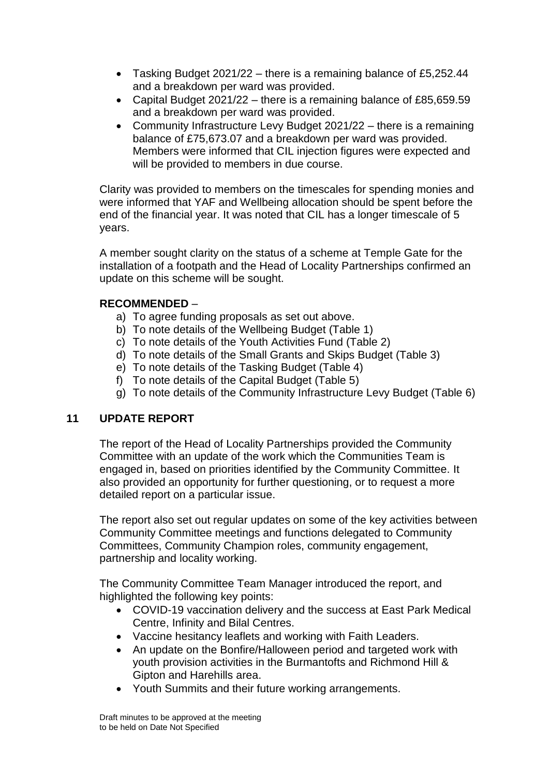- Tasking Budget 2021/22 there is a remaining balance of £5,252.44 and a breakdown per ward was provided.
- Capital Budget 2021/22 there is a remaining balance of £85,659.59 and a breakdown per ward was provided.
- Community Infrastructure Levy Budget 2021/22 there is a remaining balance of £75,673.07 and a breakdown per ward was provided. Members were informed that CIL injection figures were expected and will be provided to members in due course.

Clarity was provided to members on the timescales for spending monies and were informed that YAF and Wellbeing allocation should be spent before the end of the financial year. It was noted that CIL has a longer timescale of 5 years.

A member sought clarity on the status of a scheme at Temple Gate for the installation of a footpath and the Head of Locality Partnerships confirmed an update on this scheme will be sought.

# **RECOMMENDED** –

- a) To agree funding proposals as set out above.
- b) To note details of the Wellbeing Budget (Table 1)
- c) To note details of the Youth Activities Fund (Table 2)
- d) To note details of the Small Grants and Skips Budget (Table 3)
- e) To note details of the Tasking Budget (Table 4)
- f) To note details of the Capital Budget (Table 5)
- g) To note details of the Community Infrastructure Levy Budget (Table 6)

# **11 UPDATE REPORT**

The report of the Head of Locality Partnerships provided the Community Committee with an update of the work which the Communities Team is engaged in, based on priorities identified by the Community Committee. It also provided an opportunity for further questioning, or to request a more detailed report on a particular issue.

The report also set out regular updates on some of the key activities between Community Committee meetings and functions delegated to Community Committees, Community Champion roles, community engagement, partnership and locality working.

The Community Committee Team Manager introduced the report, and highlighted the following key points:

- COVID-19 vaccination delivery and the success at East Park Medical Centre, Infinity and Bilal Centres.
- Vaccine hesitancy leaflets and working with Faith Leaders.
- An update on the Bonfire/Halloween period and targeted work with youth provision activities in the Burmantofts and Richmond Hill & Gipton and Harehills area.
- Youth Summits and their future working arrangements.